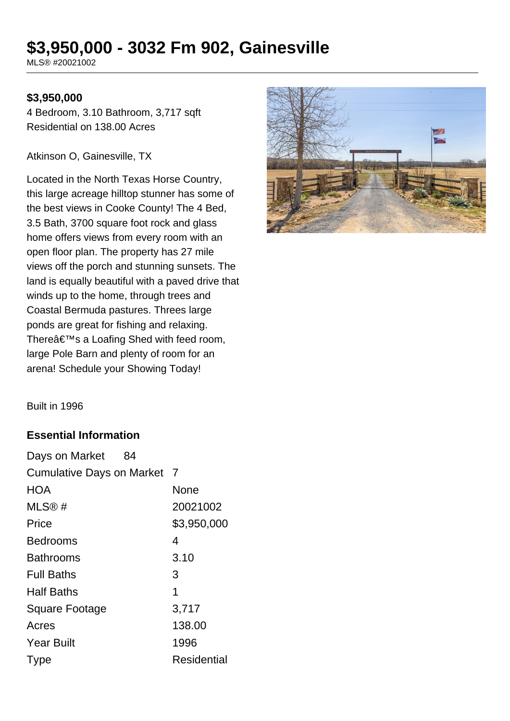# **\$3,950,000 - 3032 Fm 902, Gainesville**

MLS® #20021002

#### **\$3,950,000**

4 Bedroom, 3.10 Bathroom, 3,717 sqft Residential on 138.00 Acres

Atkinson O, Gainesville, TX

Located in the North Texas Horse Country, this large acreage hilltop stunner has some of the best views in Cooke County! The 4 Bed, 3.5 Bath, 3700 square foot rock and glass home offers views from every room with an open floor plan. The property has 27 mile views off the porch and stunning sunsets. The land is equally beautiful with a paved drive that winds up to the home, through trees and Coastal Bermuda pastures. Threes large ponds are great for fishing and relaxing. There's a Loafing Shed with feed room, large Pole Barn and plenty of room for an arena! Schedule your Showing Today!



Built in 1996

### **Essential Information**

| Days on Market<br>84             |                |
|----------------------------------|----------------|
| <b>Cumulative Days on Market</b> | $\overline{7}$ |
| HOA                              | None           |
| MLS®#                            | 20021002       |
| Price                            | \$3,950,000    |
| Bedrooms                         | 4              |
| Bathrooms                        | 3.10           |
| <b>Full Baths</b>                | 3              |
| <b>Half Baths</b>                | 1              |
| <b>Square Footage</b>            | 3,717          |
| Acres                            | 138.00         |
| <b>Year Built</b>                | 1996           |
| <b>Type</b>                      | Residential    |
|                                  |                |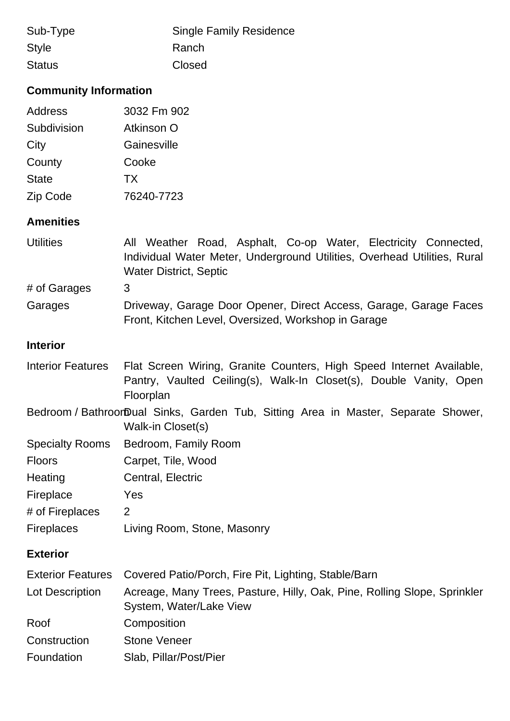| Sub-Type      | <b>Single Family Residence</b> |
|---------------|--------------------------------|
| Style         | Ranch                          |
| <b>Status</b> | Closed                         |

# **Community Information**

| Address      | 3032 Fm 902 |
|--------------|-------------|
| Subdivision  | Atkinson O  |
| City         | Gainesville |
| County       | Cooke       |
| <b>State</b> | TX          |
| Zip Code     | 76240-7723  |

### **Amenities**

| <b>Utilities</b> | All Weather Road, Asphalt, Co-op Water, Electricity Connected,                                                           |
|------------------|--------------------------------------------------------------------------------------------------------------------------|
|                  | Individual Water Meter, Underground Utilities, Overhead Utilities, Rural                                                 |
|                  | <b>Water District, Septic</b>                                                                                            |
| # of Garages     | 3                                                                                                                        |
| Garages          | Driveway, Garage Door Opener, Direct Access, Garage, Garage Faces<br>Front, Kitchen Level, Oversized, Workshop in Garage |

### **Interior**

| <b>Interior Features</b> | Flat Screen Wiring, Granite Counters, High Speed Internet Available,<br>Pantry, Vaulted Ceiling(s), Walk-In Closet(s), Double Vanity, Open<br>Floorplan |
|--------------------------|---------------------------------------------------------------------------------------------------------------------------------------------------------|
|                          | Bedroom / BathroorDual Sinks, Garden Tub, Sitting Area in Master, Separate Shower,<br>Walk-in Closet(s)                                                 |
| <b>Specialty Rooms</b>   | Bedroom, Family Room                                                                                                                                    |
| <b>Floors</b>            | Carpet, Tile, Wood                                                                                                                                      |
| Heating                  | Central, Electric                                                                                                                                       |
| Fireplace                | Yes                                                                                                                                                     |
| # of Fireplaces          | 2                                                                                                                                                       |
| <b>Fireplaces</b>        | Living Room, Stone, Masonry                                                                                                                             |
| <b>Exterior</b>          |                                                                                                                                                         |
| <b>Exterior Features</b> | Covered Patio/Porch, Fire Pit, Lighting, Stable/Barn                                                                                                    |
| Lot Description          | Acreage, Many Trees, Pasture, Hilly, Oak, Pine, Rolling Slope, Sprinkler<br>System, Water/Lake View                                                     |
| Roof                     | Composition                                                                                                                                             |
| Construction             | <b>Stone Veneer</b>                                                                                                                                     |
| Foundation               | Slab, Pillar/Post/Pier                                                                                                                                  |